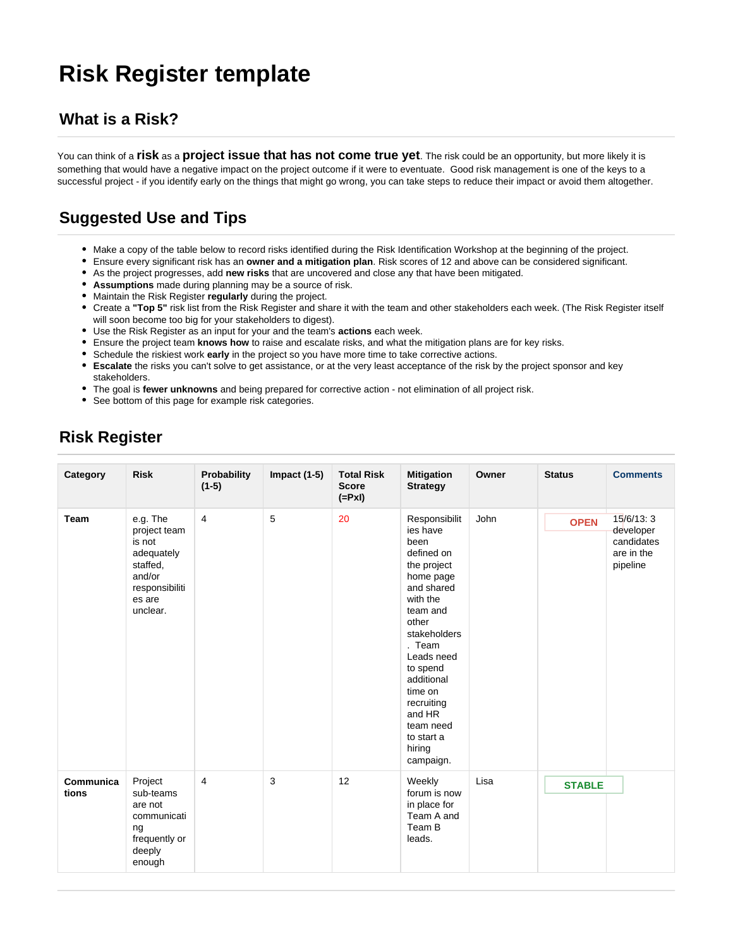# **Risk Register template**

#### **What is a Risk?**

You can think of a **risk** as a **project issue that has not come true yet**. The risk could be an opportunity, but more likely it is something that would have a negative impact on the project outcome if it were to eventuate. Good risk management is one of the keys to a successful project - if you identify early on the things that might go wrong, you can take steps to reduce their impact or avoid them altogether.

## **Suggested Use and Tips**

- Make a copy of the table below to record risks identified during the Risk Identification Workshop at the beginning of the project.
- Ensure every significant risk has an **owner and a mitigation plan**. Risk scores of 12 and above can be considered significant.
- As the project progresses, add **new risks** that are uncovered and close any that have been mitigated.
- **Assumptions** made during planning may be a source of risk.
- Maintain the Risk Register **regularly** during the project.
- Create a **"Top 5"** risk list from the Risk Register and share it with the team and other stakeholders each week. (The Risk Register itself will soon become too big for your stakeholders to digest).
- Use the Risk Register as an input for your and the team's **actions** each week.
- Ensure the project team **knows how** to raise and escalate risks, and what the mitigation plans are for key risks.
- Schedule the riskiest work **early** in the project so you have more time to take corrective actions.
- **Escalate** the risks you can't solve to get assistance, or at the very least acceptance of the risk by the project sponsor and key stakeholders.
- The goal is **fewer unknowns** and being prepared for corrective action not elimination of all project risk.
- See bottom of this page for example risk categories.

| Category           | <b>Risk</b>                                                                                                    | Probability<br>$(1-5)$ | Impact $(1-5)$ | <b>Total Risk</b><br><b>Score</b><br>$(=PxI)$ | <b>Mitigation</b><br><b>Strategy</b>                                                                                                                                                                                                                                              | Owner | <b>Status</b> | <b>Comments</b>                                                |
|--------------------|----------------------------------------------------------------------------------------------------------------|------------------------|----------------|-----------------------------------------------|-----------------------------------------------------------------------------------------------------------------------------------------------------------------------------------------------------------------------------------------------------------------------------------|-------|---------------|----------------------------------------------------------------|
| <b>Team</b>        | e.g. The<br>project team<br>is not<br>adequately<br>staffed,<br>and/or<br>responsibiliti<br>es are<br>unclear. | $\overline{4}$         | 5              | 20                                            | Responsibilit<br>ies have<br>been<br>defined on<br>the project<br>home page<br>and shared<br>with the<br>team and<br>other<br>stakeholders<br>. Team<br>Leads need<br>to spend<br>additional<br>time on<br>recruiting<br>and HR<br>team need<br>to start a<br>hiring<br>campaign. | John  | <b>OPEN</b>   | 15/6/13:3<br>developer<br>candidates<br>are in the<br>pipeline |
| Communica<br>tions | Project<br>sub-teams<br>are not<br>communicati<br>ng<br>frequently or<br>deeply<br>enough                      | 4                      | 3              | 12                                            | Weekly<br>forum is now<br>in place for<br>Team A and<br>Team B<br>leads.                                                                                                                                                                                                          | Lisa  | <b>STABLE</b> |                                                                |

### **Risk Register**